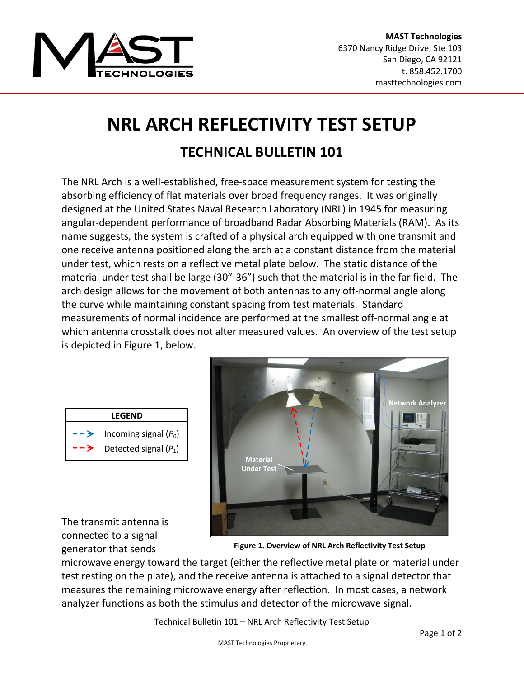

## **NRL ARCH REFLECTIVITY TEST SETUP TECHNICAL BULLETIN 101**

The NRL Arch is a well‐established, free‐space measurement system for testing the absorbing efficiency of flat materials over broad frequency ranges. It was originally designed at the United States Naval Research Laboratory (NRL) in 1945 for measuring angular‐dependent performance of broadband Radar Absorbing Materials (RAM). As its name suggests, the system is crafted of a physical arch equipped with one transmit and one receive antenna positioned along the arch at a constant distance from the material under test, which rests on a reflective metal plate below. The static distance of the material under test shall be large (30"‐36") such that the material is in the far field. The arch design allows for the movement of both antennas to any off‐normal angle along the curve while maintaining constant spacing from test materials. Standard measurements of normal incidence are performed at the smallest off‐normal angle at which antenna crosstalk does not alter measured values. An overview of the test setup is depicted in Figure 1, below.

| LEGEND |                               |  |  |  |  |  |  |
|--------|-------------------------------|--|--|--|--|--|--|
|        | $-$ > Incoming signal $(P_0)$ |  |  |  |  |  |  |
| -->    | Detected signal $(P_1)$       |  |  |  |  |  |  |



The transmit antenna is connected to a signal generator that sends

**Figure 1. Overview of NRL Arch Reflectivity Test Setup**

microwave energy toward the target (either the reflective metal plate or material under test resting on the plate), and the receive antenna is attached to a signal detector that measures the remaining microwave energy after reflection. In most cases, a network analyzer functions as both the stimulus and detector of the microwave signal.

Technical Bulletin 101 – NRL Arch Reflectivity Test Setup